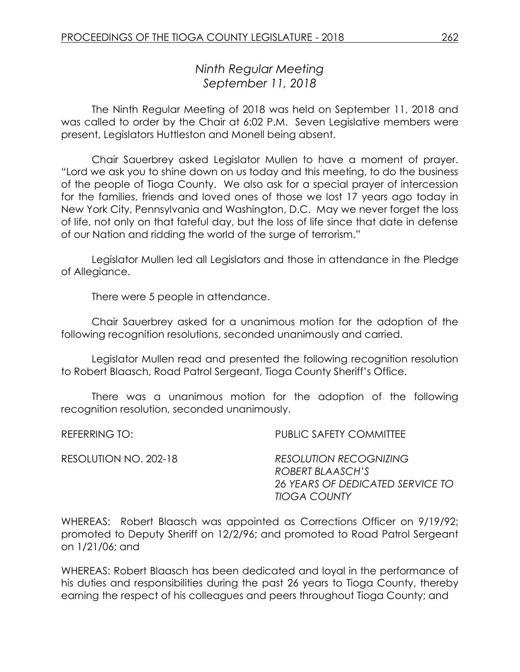# *Ninth Regular Meeting September 11, 2018*

The Ninth Regular Meeting of 2018 was held on September 11, 2018 and was called to order by the Chair at 6:02 P.M. Seven Legislative members were present, Legislators Huttleston and Monell being absent.

Chair Sauerbrey asked Legislator Mullen to have a moment of prayer. "Lord we ask you to shine down on us today and this meeting, to do the business of the people of Tioga County. We also ask for a special prayer of intercession for the families, friends and loved ones of those we lost 17 years ago today in New York City, Pennsylvania and Washington, D.C. May we never forget the loss of life, not only on that fateful day, but the loss of life since that date in defense of our Nation and ridding the world of the surge of terrorism."

Legislator Mullen led all Legislators and those in attendance in the Pledge of Allegiance.

There were 5 people in attendance.

Chair Sauerbrey asked for a unanimous motion for the adoption of the following recognition resolutions, seconded unanimously and carried.

Legislator Mullen read and presented the following recognition resolution to Robert Blaasch, Road Patrol Sergeant, Tioga County Sheriff's Office.

There was a unanimous motion for the adoption of the following recognition resolution, seconded unanimously.

REFERRING TO: PUBLIC SAFETY COMMITTEE

RESOLUTION NO. 202-18 *RESOLUTION RECOGNIZING ROBERT BLAASCH'S 26 YEARS OF DEDICATED SERVICE TO TIOGA COUNTY*

WHEREAS: Robert Blaasch was appointed as Corrections Officer on 9/19/92; promoted to Deputy Sheriff on 12/2/96; and promoted to Road Patrol Sergeant on 1/21/06; and

WHEREAS: Robert Blaasch has been dedicated and loyal in the performance of his duties and responsibilities during the past 26 years to Tioga County, thereby earning the respect of his colleagues and peers throughout Tioga County; and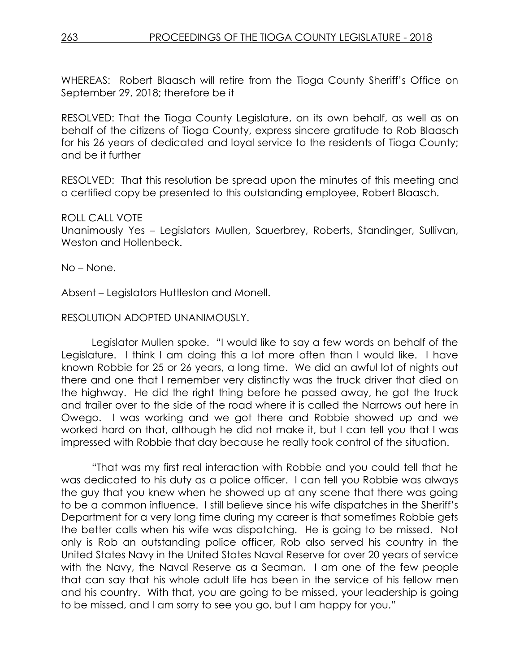WHEREAS: Robert Blaasch will retire from the Tioga County Sheriff's Office on September 29, 2018; therefore be it

RESOLVED: That the Tioga County Legislature, on its own behalf, as well as on behalf of the citizens of Tioga County, express sincere gratitude to Rob Blaasch for his 26 years of dedicated and loyal service to the residents of Tioga County; and be it further

RESOLVED: That this resolution be spread upon the minutes of this meeting and a certified copy be presented to this outstanding employee, Robert Blaasch.

#### ROLL CALL VOTE

Unanimously Yes – Legislators Mullen, Sauerbrey, Roberts, Standinger, Sullivan, Weston and Hollenbeck.

No – None.

Absent – Legislators Huttleston and Monell.

#### RESOLUTION ADOPTED UNANIMOUSLY.

Legislator Mullen spoke. "I would like to say a few words on behalf of the Legislature. I think I am doing this a lot more often than I would like. I have known Robbie for 25 or 26 years, a long time. We did an awful lot of nights out there and one that I remember very distinctly was the truck driver that died on the highway. He did the right thing before he passed away, he got the truck and trailer over to the side of the road where it is called the Narrows out here in Owego. I was working and we got there and Robbie showed up and we worked hard on that, although he did not make it, but I can tell you that I was impressed with Robbie that day because he really took control of the situation.

"That was my first real interaction with Robbie and you could tell that he was dedicated to his duty as a police officer. I can tell you Robbie was always the guy that you knew when he showed up at any scene that there was going to be a common influence. I still believe since his wife dispatches in the Sheriff's Department for a very long time during my career is that sometimes Robbie gets the better calls when his wife was dispatching. He is going to be missed. Not only is Rob an outstanding police officer, Rob also served his country in the United States Navy in the United States Naval Reserve for over 20 years of service with the Navy, the Naval Reserve as a Seaman. I am one of the few people that can say that his whole adult life has been in the service of his fellow men and his country. With that, you are going to be missed, your leadership is going to be missed, and I am sorry to see you go, but I am happy for you."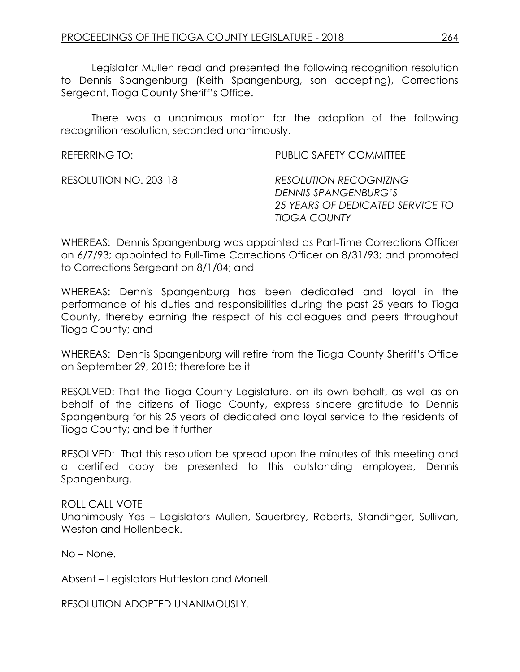Legislator Mullen read and presented the following recognition resolution to Dennis Spangenburg (Keith Spangenburg, son accepting), Corrections Sergeant, Tioga County Sheriff's Office.

There was a unanimous motion for the adoption of the following recognition resolution, seconded unanimously.

| REFERRING TO:         | PUBLIC SAFETY COMMITTEE                                                                                          |
|-----------------------|------------------------------------------------------------------------------------------------------------------|
| RESOLUTION NO. 203-18 | <b>RESOLUTION RECOGNIZING</b><br>DENNIS SPANGENBURG'S<br>25 YEARS OF DEDICATED SERVICE TO<br><b>TIOGA COUNTY</b> |

WHEREAS: Dennis Spangenburg was appointed as Part-Time Corrections Officer on 6/7/93; appointed to Full-Time Corrections Officer on 8/31/93; and promoted to Corrections Sergeant on 8/1/04; and

WHEREAS: Dennis Spangenburg has been dedicated and loyal in the performance of his duties and responsibilities during the past 25 years to Tioga County, thereby earning the respect of his colleagues and peers throughout Tioga County; and

WHEREAS: Dennis Spangenburg will retire from the Tioga County Sheriff's Office on September 29, 2018; therefore be it

RESOLVED: That the Tioga County Legislature, on its own behalf, as well as on behalf of the citizens of Tioga County, express sincere gratitude to Dennis Spangenburg for his 25 years of dedicated and loyal service to the residents of Tioga County; and be it further

RESOLVED: That this resolution be spread upon the minutes of this meeting and a certified copy be presented to this outstanding employee, Dennis Spangenburg.

ROLL CALL VOTE Unanimously Yes – Legislators Mullen, Sauerbrey, Roberts, Standinger, Sullivan, Weston and Hollenbeck.

No – None.

Absent – Legislators Huttleston and Monell.

RESOLUTION ADOPTED UNANIMOUSLY.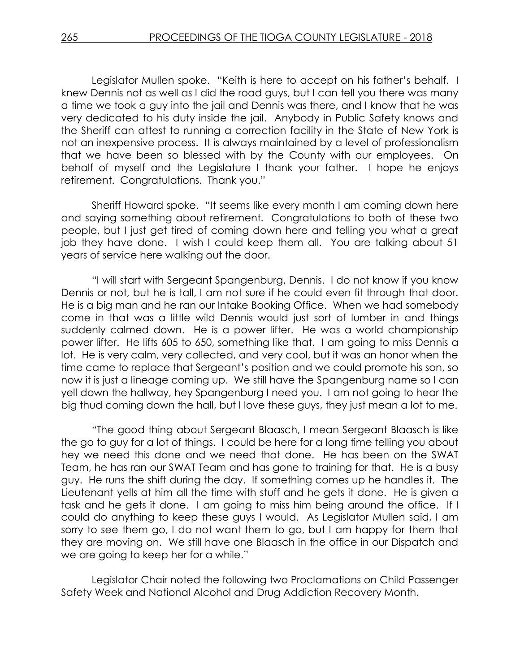Legislator Mullen spoke. "Keith is here to accept on his father's behalf. I knew Dennis not as well as I did the road guys, but I can tell you there was many a time we took a guy into the jail and Dennis was there, and I know that he was very dedicated to his duty inside the jail. Anybody in Public Safety knows and the Sheriff can attest to running a correction facility in the State of New York is not an inexpensive process. It is always maintained by a level of professionalism that we have been so blessed with by the County with our employees. On behalf of myself and the Legislature I thank your father. I hope he enjoys retirement. Congratulations. Thank you."

Sheriff Howard spoke. "It seems like every month I am coming down here and saying something about retirement. Congratulations to both of these two people, but I just get tired of coming down here and telling you what a great job they have done. I wish I could keep them all. You are talking about 51 years of service here walking out the door.

"I will start with Sergeant Spangenburg, Dennis. I do not know if you know Dennis or not, but he is tall, I am not sure if he could even fit through that door. He is a big man and he ran our Intake Booking Office. When we had somebody come in that was a little wild Dennis would just sort of lumber in and things suddenly calmed down. He is a power lifter. He was a world championship power lifter. He lifts 605 to 650, something like that. I am going to miss Dennis a lot. He is very calm, very collected, and very cool, but it was an honor when the time came to replace that Sergeant's position and we could promote his son, so now it is just a lineage coming up. We still have the Spangenburg name so I can yell down the hallway, hey Spangenburg I need you. I am not going to hear the big thud coming down the hall, but I love these guys, they just mean a lot to me.

"The good thing about Sergeant Blaasch, I mean Sergeant Blaasch is like the go to guy for a lot of things. I could be here for a long time telling you about hey we need this done and we need that done. He has been on the SWAT Team, he has ran our SWAT Team and has gone to training for that. He is a busy guy. He runs the shift during the day. If something comes up he handles it. The Lieutenant yells at him all the time with stuff and he gets it done. He is given a task and he gets it done. I am going to miss him being around the office. If I could do anything to keep these guys I would. As Legislator Mullen said, I am sorry to see them go, I do not want them to go, but I am happy for them that they are moving on. We still have one Blaasch in the office in our Dispatch and we are going to keep her for a while."

Legislator Chair noted the following two Proclamations on Child Passenger Safety Week and National Alcohol and Drug Addiction Recovery Month.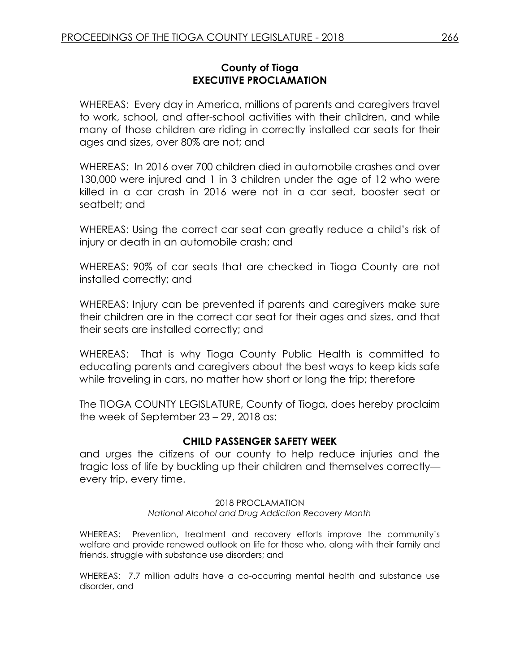## **County of Tioga EXECUTIVE PROCLAMATION**

WHEREAS: Every day in America, millions of parents and caregivers travel to work, school, and after-school activities with their children, and while many of those children are riding in correctly installed car seats for their ages and sizes, over 80% are not; and

WHEREAS: In 2016 over 700 children died in automobile crashes and over 130,000 were injured and 1 in 3 children under the age of 12 who were killed in a car crash in 2016 were not in a car seat, booster seat or seatbelt; and

WHEREAS: Using the correct car seat can greatly reduce a child's risk of injury or death in an automobile crash; and

WHEREAS: 90% of car seats that are checked in Tioga County are not installed correctly; and

WHEREAS: Injury can be prevented if parents and caregivers make sure their children are in the correct car seat for their ages and sizes, and that their seats are installed correctly; and

WHEREAS: That is why Tioga County Public Health is committed to educating parents and caregivers about the best ways to keep kids safe while traveling in cars, no matter how short or long the trip; therefore

The TIOGA COUNTY LEGISLATURE, County of Tioga, does hereby proclaim the week of September 23 – 29, 2018 as:

# **CHILD PASSENGER SAFETY WEEK**

and urges the citizens of our county to help reduce injuries and the tragic loss of life by buckling up their children and themselves correctly every trip, every time.

#### 2018 PROCLAMATION *National Alcohol and Drug Addiction Recovery Month*

WHEREAS: Prevention, treatment and recovery efforts improve the community's welfare and provide renewed outlook on life for those who, along with their family and friends, struggle with substance use disorders; and

WHEREAS: 7.7 million adults have a co-occurring mental health and substance use disorder, and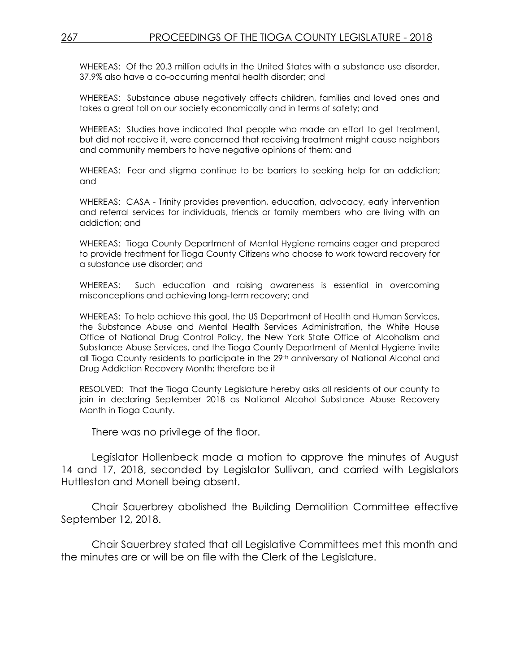WHEREAS: Of the 20.3 million adults in the United States with a substance use disorder, 37.9% also have a co-occurring mental health disorder; and

WHEREAS: Substance abuse negatively affects children, families and loved ones and takes a great toll on our society economically and in terms of safety; and

WHEREAS: Studies have indicated that people who made an effort to get treatment, but did not receive it, were concerned that receiving treatment might cause neighbors and community members to have negative opinions of them; and

WHEREAS: Fear and stigma continue to be barriers to seeking help for an addiction; and

WHEREAS: CASA - Trinity provides prevention, education, advocacy, early intervention and referral services for individuals, friends or family members who are living with an addiction; and

WHEREAS: Tioga County Department of Mental Hygiene remains eager and prepared to provide treatment for Tioga County Citizens who choose to work toward recovery for a substance use disorder; and

WHEREAS: Such education and raising awareness is essential in overcoming misconceptions and achieving long-term recovery; and

WHEREAS: To help achieve this goal, the US Department of Health and Human Services, the Substance Abuse and Mental Health Services Administration, the White House Office of National Drug Control Policy, the New York State Office of Alcoholism and Substance Abuse Services, and the Tioga County Department of Mental Hygiene invite all Tioga County residents to participate in the 29<sup>th</sup> anniversary of National Alcohol and Drug Addiction Recovery Month; therefore be it

RESOLVED: That the Tioga County Legislature hereby asks all residents of our county to join in declaring September 2018 as National Alcohol Substance Abuse Recovery Month in Tioga County.

There was no privilege of the floor.

Legislator Hollenbeck made a motion to approve the minutes of August 14 and 17, 2018, seconded by Legislator Sullivan, and carried with Legislators Huttleston and Monell being absent.

Chair Sauerbrey abolished the Building Demolition Committee effective September 12, 2018.

Chair Sauerbrey stated that all Legislative Committees met this month and the minutes are or will be on file with the Clerk of the Legislature.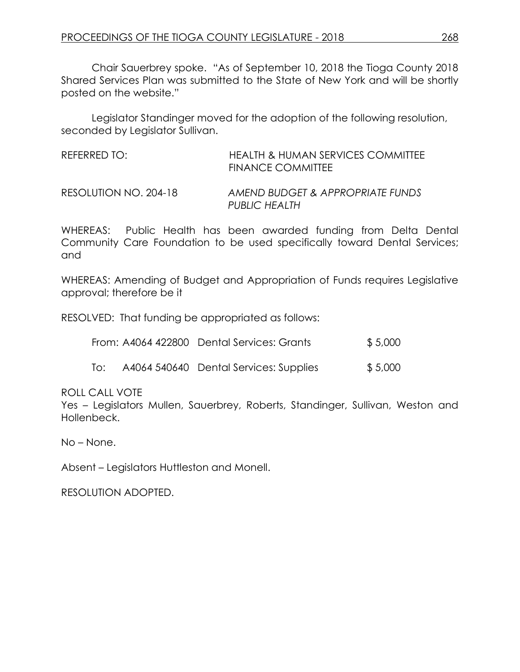Chair Sauerbrey spoke. "As of September 10, 2018 the Tioga County 2018 Shared Services Plan was submitted to the State of New York and will be shortly posted on the website."

Legislator Standinger moved for the adoption of the following resolution, seconded by Legislator Sullivan.

| REFERRED TO:          | HEALTH & HUMAN SERVICES COMMITTEE<br><b>FINANCE COMMITTEE</b> |
|-----------------------|---------------------------------------------------------------|
| RESOLUTION NO. 204-18 | AMEND BUDGET & APPROPRIATE FUNDS<br>PUBLIC HEALTH             |

WHEREAS: Public Health has been awarded funding from Delta Dental Community Care Foundation to be used specifically toward Dental Services; and

WHEREAS: Amending of Budget and Appropriation of Funds requires Legislative approval; therefore be it

RESOLVED: That funding be appropriated as follows:

|  | From: A4064 422800 Dental Services: Grants | \$5,000 |
|--|--------------------------------------------|---------|
|--|--------------------------------------------|---------|

| To: | A4064 540640 Dental Services: Supplies | \$5,000 |
|-----|----------------------------------------|---------|
|     |                                        |         |

ROLL CALL VOTE

Yes – Legislators Mullen, Sauerbrey, Roberts, Standinger, Sullivan, Weston and Hollenbeck.

No – None.

Absent – Legislators Huttleston and Monell.

RESOLUTION ADOPTED.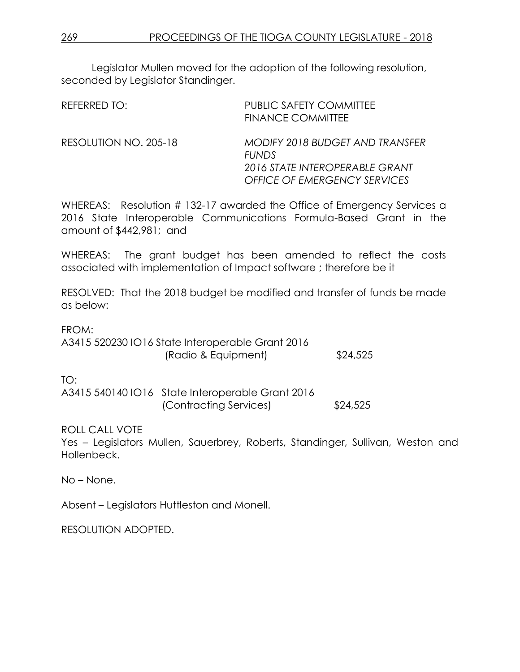Legislator Mullen moved for the adoption of the following resolution, seconded by Legislator Standinger.

| REFERRED TO:          | <b>PUBLIC SAFETY COMMITTEE</b><br><b>FINANCE COMMITTEE</b>                                                               |
|-----------------------|--------------------------------------------------------------------------------------------------------------------------|
| RESOLUTION NO. 205-18 | MODIFY 2018 BUDGET AND TRANSFER<br><b>FUNDS</b><br>2016 STATE INTEROPERABLE GRANT<br><b>OFFICE OF EMERGENCY SERVICES</b> |

WHEREAS: Resolution # 132-17 awarded the Office of Emergency Services a 2016 State Interoperable Communications Formula-Based Grant in the amount of \$442,981; and

WHEREAS: The grant budget has been amended to reflect the costs associated with implementation of Impact software ; therefore be it

RESOLVED: That the 2018 budget be modified and transfer of funds be made as below:

FROM:

A3415 520230 IO16 State Interoperable Grant 2016 (Radio & Equipment) \$24,525

TO:

A3415 540140 IO16 State Interoperable Grant 2016 (Contracting Services) \$24,525

ROLL CALL VOTE

Yes – Legislators Mullen, Sauerbrey, Roberts, Standinger, Sullivan, Weston and Hollenbeck.

No – None.

Absent – Legislators Huttleston and Monell.

RESOLUTION ADOPTED.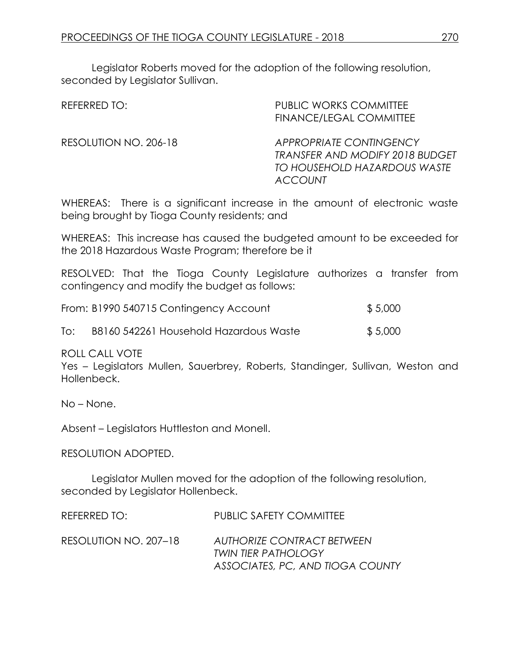Legislator Roberts moved for the adoption of the following resolution, seconded by Legislator Sullivan.

| REFERRED TO:          | <b>PUBLIC WORKS COMMITTEE</b><br>FINANCE/LEGAL COMMITTEE                                                                   |
|-----------------------|----------------------------------------------------------------------------------------------------------------------------|
| RESOLUTION NO. 206-18 | <b>APPROPRIATE CONTINGENCY</b><br><b>TRANSFER AND MODIFY 2018 BUDGET</b><br>TO HOUSEHOLD HAZARDOUS WASTE<br><b>ACCOUNT</b> |

WHEREAS: There is a significant increase in the amount of electronic waste being brought by Tioga County residents; and

WHEREAS: This increase has caused the budgeted amount to be exceeded for the 2018 Hazardous Waste Program; therefore be it

RESOLVED: That the Tioga County Legislature authorizes a transfer from contingency and modify the budget as follows:

|     | From: B1990 540715 Contingency Account | \$5,000 |
|-----|----------------------------------------|---------|
| To: | B8160 542261 Household Hazardous Waste | \$5,000 |

ROLL CALL VOTE

Yes – Legislators Mullen, Sauerbrey, Roberts, Standinger, Sullivan, Weston and Hollenbeck.

No – None.

Absent – Legislators Huttleston and Monell.

RESOLUTION ADOPTED.

Legislator Mullen moved for the adoption of the following resolution, seconded by Legislator Hollenbeck.

| REFERRED TO:          | <b>PUBLIC SAFETY COMMITTEE</b>                                                               |
|-----------------------|----------------------------------------------------------------------------------------------|
| RESOLUTION NO. 207–18 | AUTHORIZE CONTRACT BETWEEN<br><b>TWIN TIER PATHOLOGY</b><br>ASSOCIATES, PC, AND TIOGA COUNTY |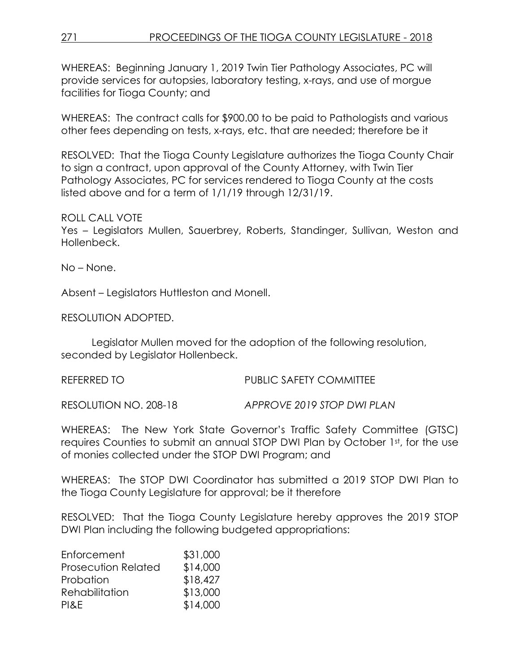WHEREAS: Beginning January 1, 2019 Twin Tier Pathology Associates, PC will provide services for autopsies, laboratory testing, x-rays, and use of morgue facilities for Tioga County; and

WHEREAS: The contract calls for \$900.00 to be paid to Pathologists and various other fees depending on tests, x-rays, etc. that are needed; therefore be it

RESOLVED: That the Tioga County Legislature authorizes the Tioga County Chair to sign a contract, upon approval of the County Attorney, with Twin Tier Pathology Associates, PC for services rendered to Tioga County at the costs listed above and for a term of 1/1/19 through 12/31/19.

# ROLL CALL VOTE

Yes – Legislators Mullen, Sauerbrey, Roberts, Standinger, Sullivan, Weston and Hollenbeck.

No – None.

Absent – Legislators Huttleston and Monell.

RESOLUTION ADOPTED.

Legislator Mullen moved for the adoption of the following resolution, seconded by Legislator Hollenbeck.

REFERRED TO **PUBLIC SAFETY COMMITTEE** 

RESOLUTION NO. 208-18 *APPROVE 2019 STOP DWI PLAN*

WHEREAS: The New York State Governor's Traffic Safety Committee (GTSC) requires Counties to submit an annual STOP DWI Plan by October 1st, for the use of monies collected under the STOP DWI Program; and

WHEREAS: The STOP DWI Coordinator has submitted a 2019 STOP DWI Plan to the Tioga County Legislature for approval; be it therefore

RESOLVED: That the Tioga County Legislature hereby approves the 2019 STOP DWI Plan including the following budgeted appropriations:

| Enforcement                | \$31,000 |
|----------------------------|----------|
| <b>Prosecution Related</b> | \$14,000 |
| Probation                  | \$18,427 |
| Rehabilitation             | \$13,000 |
| PI&E                       | \$14,000 |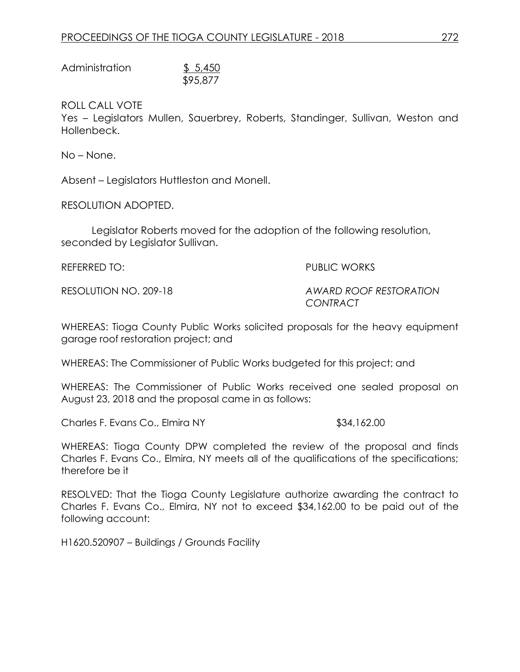| Administration | \$5,450  |
|----------------|----------|
|                | \$95,877 |

ROLL CALL VOTE

Yes – Legislators Mullen, Sauerbrey, Roberts, Standinger, Sullivan, Weston and Hollenbeck.

No – None.

Absent – Legislators Huttleston and Monell.

RESOLUTION ADOPTED.

Legislator Roberts moved for the adoption of the following resolution, seconded by Legislator Sullivan.

REFERRED TO: PUBLIC WORKS

RESOLUTION NO. 209-18 *AWARD ROOF RESTORATION CONTRACT* 

WHEREAS: Tioga County Public Works solicited proposals for the heavy equipment garage roof restoration project; and

WHEREAS: The Commissioner of Public Works budgeted for this project; and

WHEREAS: The Commissioner of Public Works received one sealed proposal on August 23, 2018 and the proposal came in as follows:

Charles F. Evans Co., Elmira NY **\$34,162.00** 

WHEREAS: Tioga County DPW completed the review of the proposal and finds Charles F. Evans Co., Elmira, NY meets all of the qualifications of the specifications; therefore be it

RESOLVED: That the Tioga County Legislature authorize awarding the contract to Charles F. Evans Co., Elmira, NY not to exceed \$34,162.00 to be paid out of the following account:

H1620.520907 – Buildings / Grounds Facility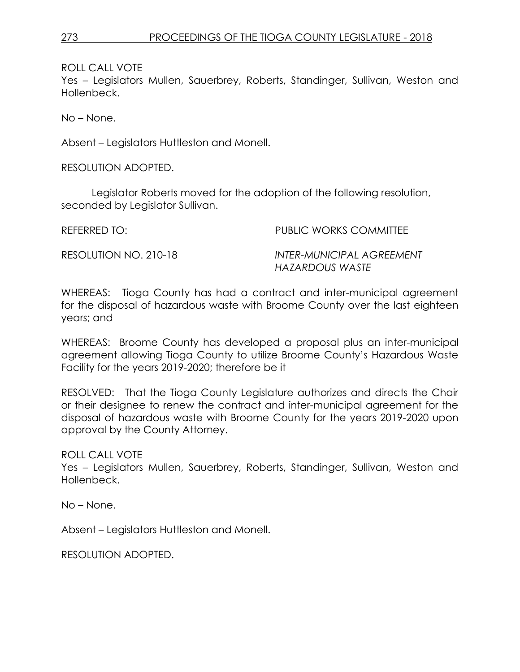ROLL CALL VOTE

Yes – Legislators Mullen, Sauerbrey, Roberts, Standinger, Sullivan, Weston and Hollenbeck.

No – None.

Absent – Legislators Huttleston and Monell.

RESOLUTION ADOPTED.

Legislator Roberts moved for the adoption of the following resolution, seconded by Legislator Sullivan.

REFERRED TO: PUBLIC WORKS COMMITTEE

RESOLUTION NO. 210-18 *INTER-MUNICIPAL AGREEMENT HAZARDOUS WASTE*

WHEREAS: Tioga County has had a contract and inter-municipal agreement for the disposal of hazardous waste with Broome County over the last eighteen years; and

WHEREAS: Broome County has developed a proposal plus an inter-municipal agreement allowing Tioga County to utilize Broome County's Hazardous Waste Facility for the years 2019-2020; therefore be it

RESOLVED: That the Tioga County Legislature authorizes and directs the Chair or their designee to renew the contract and inter-municipal agreement for the disposal of hazardous waste with Broome County for the years 2019-2020 upon approval by the County Attorney.

ROLL CALL VOTE

Yes – Legislators Mullen, Sauerbrey, Roberts, Standinger, Sullivan, Weston and Hollenbeck.

No – None.

Absent – Legislators Huttleston and Monell.

RESOLUTION ADOPTED.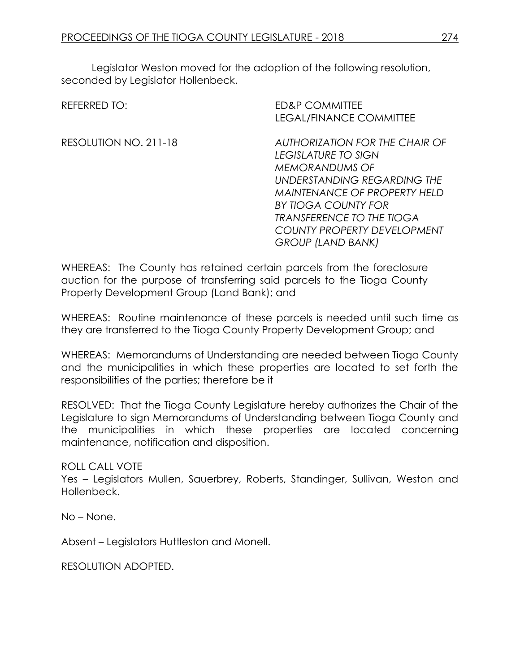Legislator Weston moved for the adoption of the following resolution, seconded by Legislator Hollenbeck.

| REFERRED TO:          | <b>ED&amp;P COMMITTEE</b>           |
|-----------------------|-------------------------------------|
|                       | <b>LEGAL/FINANCE COMMITTEE</b>      |
| RESOLUTION NO. 211-18 | AUTHORIZATION FOR THE CHAIR OF      |
|                       | LEGISLATURE TO SIGN                 |
|                       | <b>MEMORANDUMS OF</b>               |
|                       | UNDERSTANDING REGARDING THE         |
|                       | <b>MAINTENANCE OF PROPERTY HELD</b> |
|                       | BY TIOGA COUNTY FOR                 |
|                       | <b>TRANSFERENCE TO THE TIOGA</b>    |
|                       | <b>COUNTY PROPERTY DEVELOPMENT</b>  |
|                       | <b>GROUP (LAND BANK)</b>            |

WHEREAS: The County has retained certain parcels from the foreclosure auction for the purpose of transferring said parcels to the Tioga County Property Development Group (Land Bank); and

WHEREAS: Routine maintenance of these parcels is needed until such time as they are transferred to the Tioga County Property Development Group; and

WHEREAS: Memorandums of Understanding are needed between Tioga County and the municipalities in which these properties are located to set forth the responsibilities of the parties; therefore be it

RESOLVED: That the Tioga County Legislature hereby authorizes the Chair of the Legislature to sign Memorandums of Understanding between Tioga County and the municipalities in which these properties are located concerning maintenance, notification and disposition.

ROLL CALL VOTE

Yes – Legislators Mullen, Sauerbrey, Roberts, Standinger, Sullivan, Weston and Hollenbeck.

No – None.

Absent – Legislators Huttleston and Monell.

RESOLUTION ADOPTED.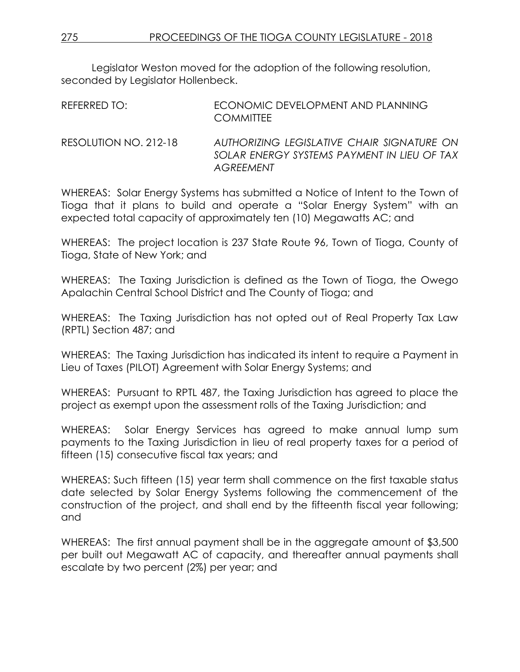Legislator Weston moved for the adoption of the following resolution, seconded by Legislator Hollenbeck.

| REFERRED TO: | ECONOMIC DEVELOPMENT AND PLANNING<br><b>COMMITTEE</b>                                                                                                                                                                                                                                                                                               |
|--------------|-----------------------------------------------------------------------------------------------------------------------------------------------------------------------------------------------------------------------------------------------------------------------------------------------------------------------------------------------------|
|              | $\overline{a}$ , $\overline{a}$ , $\overline{a}$ , $\overline{a}$ , $\overline{a}$ , $\overline{a}$ , $\overline{a}$ , $\overline{a}$ , $\overline{a}$ , $\overline{a}$ , $\overline{a}$ , $\overline{a}$ , $\overline{a}$ , $\overline{a}$ , $\overline{a}$ , $\overline{a}$ , $\overline{a}$ , $\overline{a}$ , $\overline{a}$ , $\overline{a}$ , |

RESOLUTION NO. 212-18 *AUTHORIZING LEGISLATIVE CHAIR SIGNATURE ON SOLAR ENERGY SYSTEMS PAYMENT IN LIEU OF TAX AGREEMENT*

WHEREAS: Solar Energy Systems has submitted a Notice of Intent to the Town of Tioga that it plans to build and operate a "Solar Energy System" with an expected total capacity of approximately ten (10) Megawatts AC; and

WHEREAS: The project location is 237 State Route 96, Town of Tioga, County of Tioga, State of New York; and

WHEREAS: The Taxing Jurisdiction is defined as the Town of Tioga, the Owego Apalachin Central School District and The County of Tioga; and

WHEREAS: The Taxing Jurisdiction has not opted out of Real Property Tax Law (RPTL) Section 487; and

WHEREAS: The Taxing Jurisdiction has indicated its intent to require a Payment in Lieu of Taxes (PILOT) Agreement with Solar Energy Systems; and

WHEREAS: Pursuant to RPTL 487, the Taxing Jurisdiction has agreed to place the project as exempt upon the assessment rolls of the Taxing Jurisdiction; and

WHEREAS: Solar Energy Services has agreed to make annual lump sum payments to the Taxing Jurisdiction in lieu of real property taxes for a period of fifteen (15) consecutive fiscal tax years; and

WHEREAS: Such fifteen (15) year term shall commence on the first taxable status date selected by Solar Energy Systems following the commencement of the construction of the project, and shall end by the fifteenth fiscal year following; and

WHEREAS: The first annual payment shall be in the aggregate amount of \$3,500 per built out Megawatt AC of capacity, and thereafter annual payments shall escalate by two percent (2%) per year; and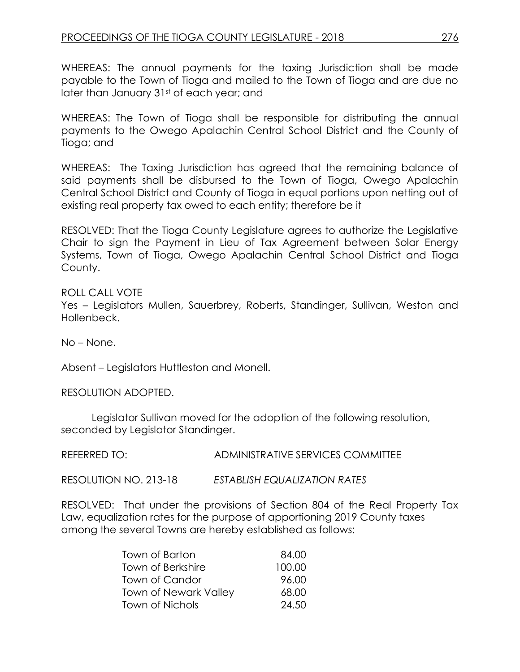WHEREAS: The annual payments for the taxing Jurisdiction shall be made payable to the Town of Tioga and mailed to the Town of Tioga and are due no later than January 31st of each year; and

WHEREAS: The Town of Tioga shall be responsible for distributing the annual payments to the Owego Apalachin Central School District and the County of Tioga; and

WHEREAS: The Taxing Jurisdiction has agreed that the remaining balance of said payments shall be disbursed to the Town of Tioga, Owego Apalachin Central School District and County of Tioga in equal portions upon netting out of existing real property tax owed to each entity; therefore be it

RESOLVED: That the Tioga County Legislature agrees to authorize the Legislative Chair to sign the Payment in Lieu of Tax Agreement between Solar Energy Systems, Town of Tioga, Owego Apalachin Central School District and Tioga County.

ROLL CALL VOTE Yes – Legislators Mullen, Sauerbrey, Roberts, Standinger, Sullivan, Weston and Hollenbeck.

No – None.

Absent – Legislators Huttleston and Monell.

RESOLUTION ADOPTED.

Legislator Sullivan moved for the adoption of the following resolution, seconded by Legislator Standinger.

REFERRED TO: ADMINISTRATIVE SERVICES COMMITTEE

RESOLUTION NO. 213-18 *ESTABLISH EQUALIZATION RATES*

RESOLVED: That under the provisions of Section 804 of the Real Property Tax Law, equalization rates for the purpose of apportioning 2019 County taxes among the several Towns are hereby established as follows:

| Town of Barton               | 84.00  |
|------------------------------|--------|
| Town of Berkshire            | 100.00 |
| Town of Candor               | 96.00  |
| <b>Town of Newark Valley</b> | 68.00  |
| Town of Nichols              | 24.50  |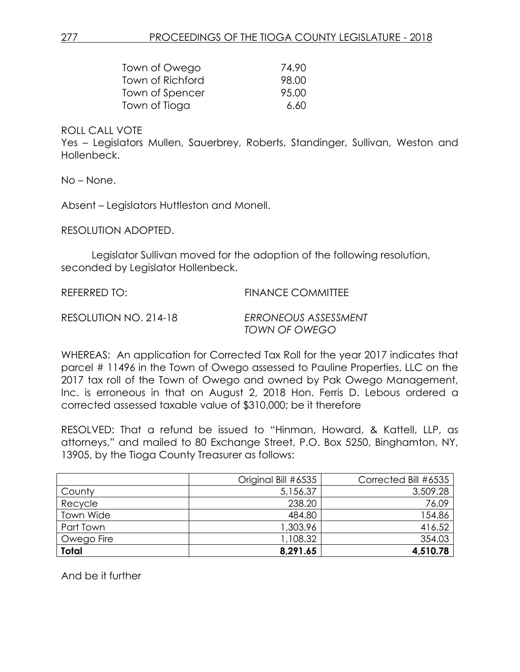| Town of Owego    | 74.90 |
|------------------|-------|
| Town of Richford | 98.00 |
| Town of Spencer  | 95.00 |
| Town of Tioga    | 6.60  |

#### ROLL CALL VOTE

Yes – Legislators Mullen, Sauerbrey, Roberts, Standinger, Sullivan, Weston and Hollenbeck.

No – None.

Absent – Legislators Huttleston and Monell.

RESOLUTION ADOPTED.

Legislator Sullivan moved for the adoption of the following resolution, seconded by Legislator Hollenbeck.

REFERRED TO: FINANCE COMMITTEE

RESOLUTION NO. 214-18 *ERRONEOUS ASSESSMENT TOWN OF OWEGO*

WHEREAS: An application for Corrected Tax Roll for the year 2017 indicates that parcel # 11496 in the Town of Owego assessed to Pauline Properties, LLC on the 2017 tax roll of the Town of Owego and owned by Pak Owego Management, Inc. is erroneous in that on August 2, 2018 Hon. Ferris D. Lebous ordered a corrected assessed taxable value of \$310,000; be it therefore

RESOLVED: That a refund be issued to "Hinman, Howard, & Kattell, LLP, as attorneys," and mailed to 80 Exchange Street, P.O. Box 5250, Binghamton, NY, 13905, by the Tioga County Treasurer as follows:

|              | Original Bill #6535 | Corrected Bill #6535 |
|--------------|---------------------|----------------------|
| County       | 5,156.37            | 3,509.28             |
| Recycle      | 238.20              | 76.09                |
| Town Wide    | 484.80              | 154.86               |
| Part Town    | 1,303.96            | 416.52               |
| Owego Fire   | ,108.32             | 354.03               |
| <b>Total</b> | 8,291.65            | 4,510.78             |

And be it further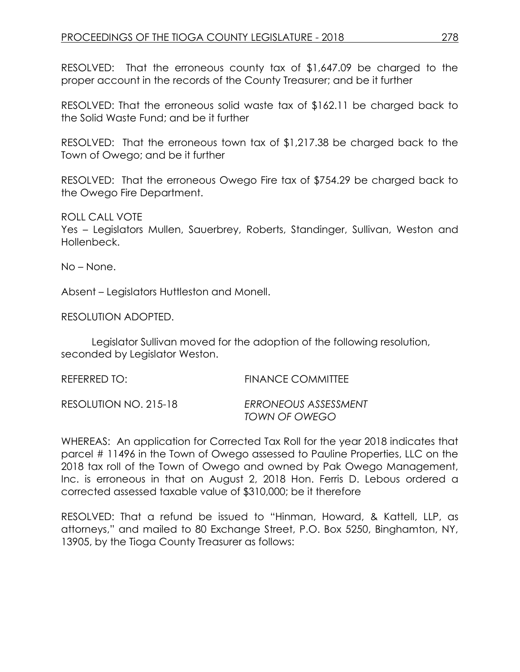RESOLVED: That the erroneous county tax of \$1,647.09 be charged to the proper account in the records of the County Treasurer; and be it further

RESOLVED: That the erroneous solid waste tax of \$162.11 be charged back to the Solid Waste Fund; and be it further

RESOLVED: That the erroneous town tax of \$1,217.38 be charged back to the Town of Owego; and be it further

RESOLVED: That the erroneous Owego Fire tax of \$754.29 be charged back to the Owego Fire Department.

ROLL CALL VOTE Yes – Legislators Mullen, Sauerbrey, Roberts, Standinger, Sullivan, Weston and Hollenbeck.

No – None.

Absent – Legislators Huttleston and Monell.

RESOLUTION ADOPTED.

Legislator Sullivan moved for the adoption of the following resolution, seconded by Legislator Weston.

| REFERRED TO:          | FINANCE COMMITTEE                     |
|-----------------------|---------------------------------------|
| RESOLUTION NO. 215-18 | ERRONEOUS ASSESSMENT<br>TOWN OF OWEGO |

WHEREAS: An application for Corrected Tax Roll for the year 2018 indicates that parcel # 11496 in the Town of Owego assessed to Pauline Properties, LLC on the 2018 tax roll of the Town of Owego and owned by Pak Owego Management, Inc. is erroneous in that on August 2, 2018 Hon. Ferris D. Lebous ordered a corrected assessed taxable value of \$310,000; be it therefore

RESOLVED: That a refund be issued to "Hinman, Howard, & Kattell, LLP, as attorneys," and mailed to 80 Exchange Street, P.O. Box 5250, Binghamton, NY, 13905, by the Tioga County Treasurer as follows: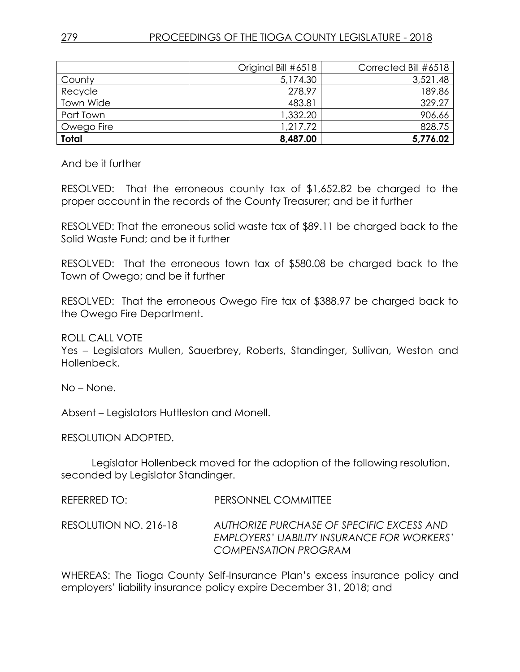|              | Original Bill #6518 | Corrected Bill #6518 |
|--------------|---------------------|----------------------|
| County       | 5,174.30            | 3,521.48             |
| Recycle      | 278.97              | 189.86               |
| Town Wide    | 483.81              | 329.27               |
| Part Town    | 1,332.20            | 906.66               |
| Owego Fire   | 1,217.72            | 828.75               |
| <b>Total</b> | 8,487.00            | 5,776.02             |

And be it further

RESOLVED: That the erroneous county tax of \$1,652.82 be charged to the proper account in the records of the County Treasurer; and be it further

RESOLVED: That the erroneous solid waste tax of \$89.11 be charged back to the Solid Waste Fund; and be it further

RESOLVED: That the erroneous town tax of \$580.08 be charged back to the Town of Owego; and be it further

RESOLVED: That the erroneous Owego Fire tax of \$388.97 be charged back to the Owego Fire Department.

ROLL CALL VOTE

Yes – Legislators Mullen, Sauerbrey, Roberts, Standinger, Sullivan, Weston and Hollenbeck.

No – None.

Absent – Legislators Huttleston and Monell.

RESOLUTION ADOPTED.

Legislator Hollenbeck moved for the adoption of the following resolution, seconded by Legislator Standinger.

| REFERRED TO:          | PERSONNEL COMMITTEE                                                                                              |
|-----------------------|------------------------------------------------------------------------------------------------------------------|
| RESOLUTION NO. 216-18 | AUTHORIZE PURCHASE OF SPECIFIC EXCESS AND<br>EMPLOYERS' LIABILITY INSURANCE FOR WORKERS'<br>COMPENSATION PROGRAM |

WHEREAS: The Tioga County Self-Insurance Plan's excess insurance policy and employers' liability insurance policy expire December 31, 2018; and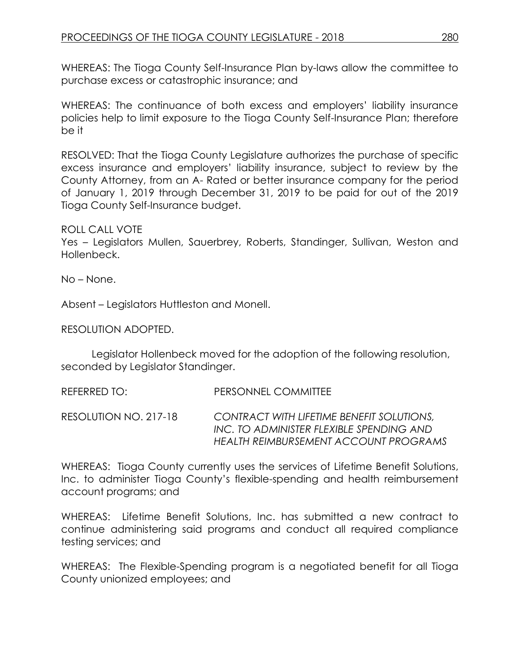WHEREAS: The Tioga County Self-Insurance Plan by-laws allow the committee to purchase excess or catastrophic insurance; and

WHEREAS: The continuance of both excess and employers' liability insurance policies help to limit exposure to the Tioga County Self-Insurance Plan; therefore be it

RESOLVED: That the Tioga County Legislature authorizes the purchase of specific excess insurance and employers' liability insurance, subject to review by the County Attorney, from an A- Rated or better insurance company for the period of January 1, 2019 through December 31, 2019 to be paid for out of the 2019 Tioga County Self-Insurance budget.

## ROLL CALL VOTE

Yes – Legislators Mullen, Sauerbrey, Roberts, Standinger, Sullivan, Weston and Hollenbeck.

No – None.

Absent – Legislators Huttleston and Monell.

RESOLUTION ADOPTED.

Legislator Hollenbeck moved for the adoption of the following resolution, seconded by Legislator Standinger.

REFERRED TO: PERSONNEL COMMITTEE

RESOLUTION NO. 217-18 *CONTRACT WITH LIFETIME BENEFIT SOLUTIONS, INC. TO ADMINISTER FLEXIBLE SPENDING AND HEALTH REIMBURSEMENT ACCOUNT PROGRAMS*

WHEREAS: Tioga County currently uses the services of Lifetime Benefit Solutions, Inc. to administer Tioga County's flexible-spending and health reimbursement account programs; and

WHEREAS: Lifetime Benefit Solutions, Inc. has submitted a new contract to continue administering said programs and conduct all required compliance testing services; and

WHEREAS: The Flexible-Spending program is a negotiated benefit for all Tioga County unionized employees; and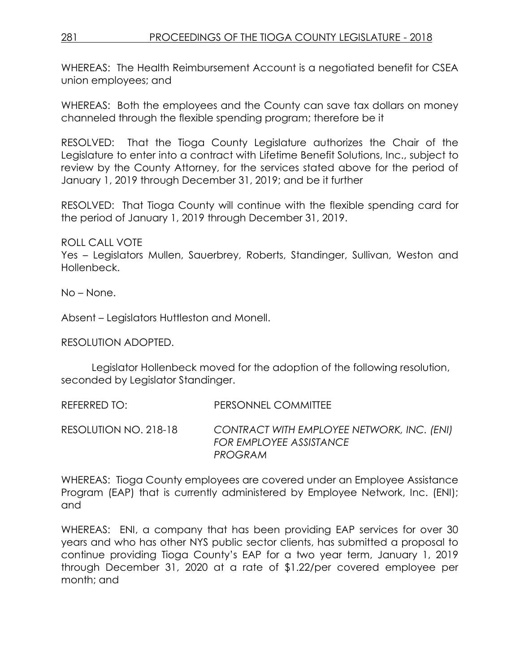WHEREAS: The Health Reimbursement Account is a negotiated benefit for CSEA union employees; and

WHEREAS: Both the employees and the County can save tax dollars on money channeled through the flexible spending program; therefore be it

RESOLVED: That the Tioga County Legislature authorizes the Chair of the Legislature to enter into a contract with Lifetime Benefit Solutions, Inc., subject to review by the County Attorney, for the services stated above for the period of January 1, 2019 through December 31, 2019; and be it further

RESOLVED: That Tioga County will continue with the flexible spending card for the period of January 1, 2019 through December 31, 2019.

ROLL CALL VOTE Yes – Legislators Mullen, Sauerbrey, Roberts, Standinger, Sullivan, Weston and Hollenbeck.

No – None.

Absent – Legislators Huttleston and Monell.

RESOLUTION ADOPTED.

Legislator Hollenbeck moved for the adoption of the following resolution, seconded by Legislator Standinger.

REFERRED TO: PERSONNEL COMMITTEE

RESOLUTION NO. 218-18 *CONTRACT WITH EMPLOYEE NETWORK, INC. (ENI) FOR EMPLOYEE ASSISTANCE PROGRAM*

WHEREAS: Tioga County employees are covered under an Employee Assistance Program (EAP) that is currently administered by Employee Network, Inc. (ENI); and

WHEREAS: ENI, a company that has been providing EAP services for over 30 years and who has other NYS public sector clients, has submitted a proposal to continue providing Tioga County's EAP for a two year term, January 1, 2019 through December 31, 2020 at a rate of \$1.22/per covered employee per month; and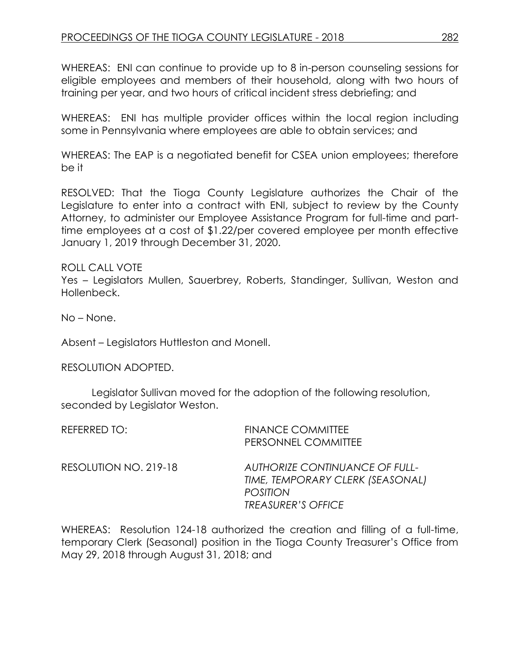WHEREAS: ENI can continue to provide up to 8 in-person counseling sessions for eligible employees and members of their household, along with two hours of training per year, and two hours of critical incident stress debriefing; and

WHEREAS: ENI has multiple provider offices within the local region including some in Pennsylvania where employees are able to obtain services; and

WHEREAS: The EAP is a negotiated benefit for CSEA union employees; therefore be it

RESOLVED: That the Tioga County Legislature authorizes the Chair of the Legislature to enter into a contract with ENI, subject to review by the County Attorney, to administer our Employee Assistance Program for full-time and parttime employees at a cost of \$1.22/per covered employee per month effective January 1, 2019 through December 31, 2020.

ROLL CALL VOTE

Yes – Legislators Mullen, Sauerbrey, Roberts, Standinger, Sullivan, Weston and Hollenbeck.

No – None.

Absent – Legislators Huttleston and Monell.

RESOLUTION ADOPTED.

Legislator Sullivan moved for the adoption of the following resolution, seconded by Legislator Weston.

| <b>REFERRED TO:</b> |                       | <b>FINANCE COMMITTEE</b><br>PERSONNEL COMMITTEE                                                                           |
|---------------------|-----------------------|---------------------------------------------------------------------------------------------------------------------------|
|                     | RESOLUTION NO. 219-18 | <b>AUTHORIZE CONTINUANCE OF FULL-</b><br>TIME, TEMPORARY CLERK (SEASONAL)<br><b>POSITION</b><br><b>TREASURER'S OFFICE</b> |
|                     |                       | WHFRFAS:  Resolution 124-18 authorized the creation and filling of a full-tir                                             |

WHEREAS: Resolution 124-18 authorized the creation and filling of a full-time, temporary Clerk (Seasonal) position in the Tioga County Treasurer's Office from May 29, 2018 through August 31, 2018; and